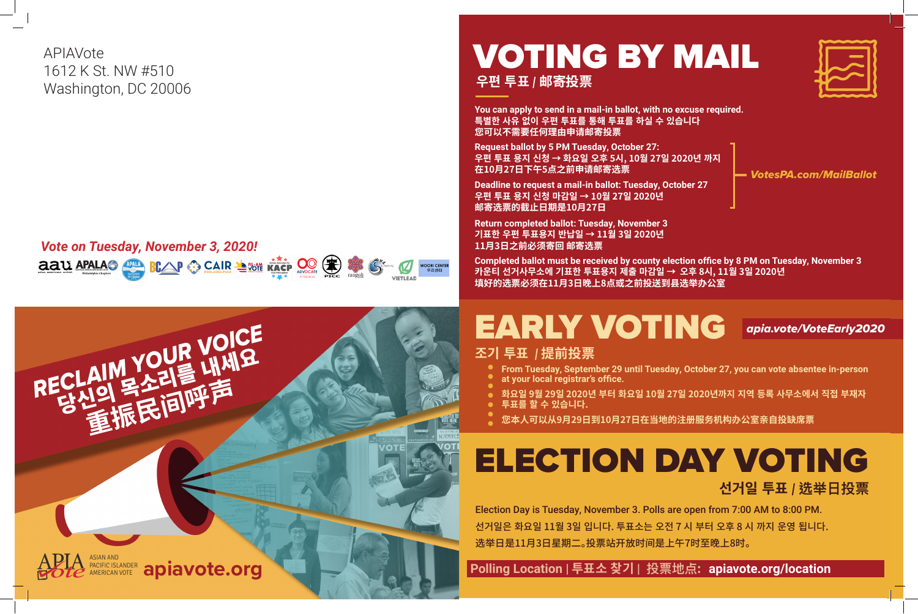# EARLY VOTING *apia.vote/VoteEarly2020*

# ELECTION DAY VOTING

**선거일 투표** *|* **选举日投票**

 **Polling Location | 투표소 찾기 | 投票地点: apiavote.org/location**





## VOTING BY MAIL **우편 투표** *|* **邮寄投票**

**Return completed ballot: Tuesday, November 3 기표한 우편 투표용지 반납일 → 11월 3일 2020년 11月3日之前必须寄回 邮寄选票**

**You can apply to send in a mail-in ballot, with no excuse required. 특별한 사유 없이 우편 투표를 통해 투표를 하실 수 있습니다 您可以不需要任何理由申请邮寄投票**

#### *Vote on Tuesday, November 3, 2020!* **aau APALAO BLAP** SCAIR SENT KACP OOCATE WOORI CENTER<br>우리센터

**Request ballot by 5 PM Tuesday, October 27: 우편 투표 용지 신청 → 화요일 오후 5시, 10월 27일 2020년 까지 在10月27日下午5点之前申请邮寄选票**

**Deadline to request a mail-in ballot: Tuesday, October 27 우편 투표 용지 신청 마감일 → 10월 27일 2020년 邮寄选票的截止日期是10月27日**

**Completed ballot must be received by county election office by 8 PM on Tuesday, November 3 카운티 선거사무소에 기표한 투표용지 제출 마감일 → 오후 8시, 11월 3일 2020년 填好的选票必须在11月3日晚上8点或之前投送到县选举办公室**

*VotesPA.com/MailBallot*



APIAVote 1612 K St. NW #510 Washington, DC 20006

**From Tuesday, September 29 until Tuesday, October 27, you can vote absentee in-person** 

- **조기 투표** *|* **提前投票**
	-
	- **at your local registrar's office.**
	-
	- **투표를 할 수 있습니다.**
	-

**화요일 9월 29일 2020년 부터 화요일 10월 27일 2020년까지 지역 등록 사무소에서 직접 부재자** 

**您本人可以从9月29日到10月27日在当地的注册服务机构办公室亲自投缺席票**

Election Day is Tuesday, November 3. Polls are open from 7:00 AM to 8:00 PM. 선거일은 화요일 11월 3일 입니다. 투표소는 오전 7 시 부터 오후 8 시 까지 운영 됩니다. 选举日是11月3日星期二。投票站开放时间是上午7时至晚上8时。